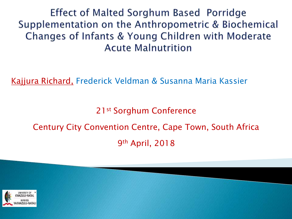Effect of Malted Sorghum Based Porridge Supplementation on the Anthropometric & Biochemical Changes of Infants & Young Children with Moderate **Acute Malnutrition** 

Kajjura Richard, Frederick Veldman & Susanna Maria Kassier

21st Sorghum Conference

#### Century City Convention Centre, Cape Town, South Africa 9th April, 2018

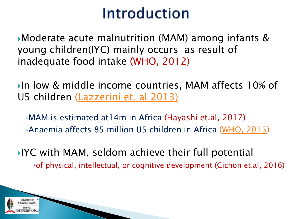### Introduction

Moderate acute malnutrition (MAM) among infants & young children(IYC) mainly occurs as result of inadequate food intake (WHO, 2012)

In low & middle income countries, MAM affects 10% of U5 children (Lazzerini et. al 2013)

◦MAM is estimated at14m in Africa (Hayashi et.al, 2017) ◦Anaemia affects 85 million U5 children in Africa (WHO, 2015)

IYC with MAM, seldom achieve their full potential of physical, intellectual, or cognitive development (Cichon et.al, 2016)

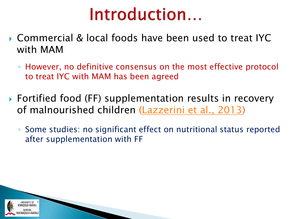# Introduction...

- Commercial & local foods have been used to treat IYC with MAM
	- However, no definitive consensus on the most effective protocol to treat IYC with MAM has been agreed
- ▶ Fortified food (FF) supplementation results in recovery of malnourished children (Lazzerini et al., 2013)
	- Some studies: no significant effect on nutritional status reported after supplementation with FF

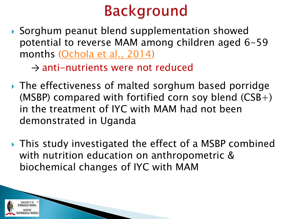# **Background**

▶ Sorghum peanut blend supplementation showed potential to reverse MAM among children aged 6-59 months (Ochola et al., 2014)

 $\rightarrow$  anti-nutrients were not reduced

- ▶ The effectiveness of malted sorghum based porridge (MSBP) compared with fortified corn soy blend  $(CSB+)$ in the treatment of IYC with MAM had not been demonstrated in Uganda
- ▶ This study investigated the effect of a MSBP combined with nutrition education on anthropometric & biochemical changes of IYC with MAM

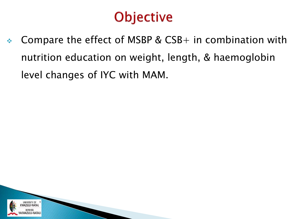### **Objective**

 $\div$  Compare the effect of MSBP & CSB+ in combination with nutrition education on weight, length, & haemoglobin level changes of IYC with MAM.

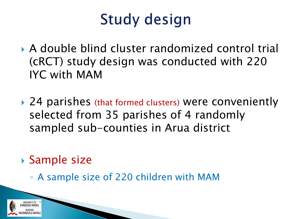# Study design

- A double blind cluster randomized control trial (cRCT) study design was conducted with 220 IYC with MAM
- ▶ 24 parishes (that formed clusters) were conveniently selected from 35 parishes of 4 randomly sampled sub-counties in Arua district
- Sample size
	- A sample size of 220 children with MAM

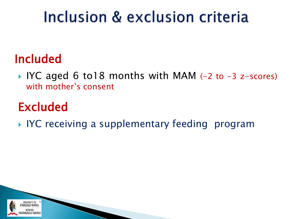# Inclusion & exclusion criteria

#### Included

■ IYC aged 6 to18 months with MAM (-2 to -3 z-scores) with mother's consent

### Excluded

IYC receiving a supplementary feeding program

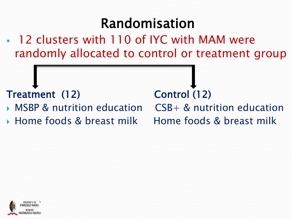### Randomisation

• 12 clusters with 110 of IYC with MAM were randomly allocated to control or treatment group

#### Treatment (12) Control (12)

- MSBP & nutrition education CSB+ & nutrition education
- ▶ Home foods & breast milk Home foods & breast milk

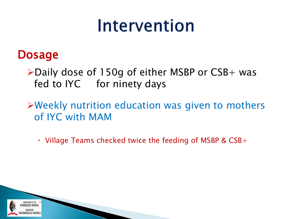# Intervention

#### **Dosage**

- ➢Daily dose of 150g of either MSBP or CSB+ was fed to IYC for ninety days
- ➢Weekly nutrition education was given to mothers of IYC with MAM
	- Village Teams checked twice the feeding of MSBP &  $CSB+$

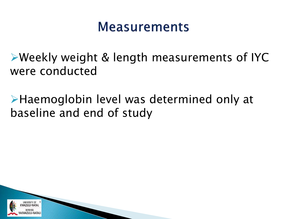#### **Measurements**

➢Weekly weight & length measurements of IYC were conducted

➢Haemoglobin level was determined only at baseline and end of study

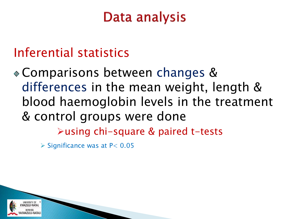### Data analysis

#### Inferential statistics

Comparisons between changes & differences in the mean weight, length & blood haemoglobin levels in the treatment & control groups were done ➢using chi-square & paired t-tests

 $\triangleright$  Significance was at P < 0.05

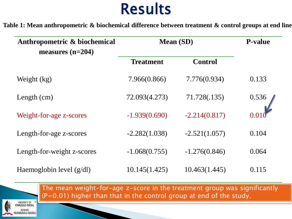### Results

**Table 1: Mean anthropometric & biochemical difference between treatment & control groups at end line** 

| Anthropometric & biochemical<br>measures $(n=204)$ | <b>Mean</b> (SD) |                 | <b>P-value</b> |
|----------------------------------------------------|------------------|-----------------|----------------|
|                                                    | <b>Treatment</b> | <b>Control</b>  |                |
| Weight (kg)                                        | 7.966(0.866)     | 7.776(0.934)    | 0.133          |
| Length $(cm)$                                      | 72.093(4.273)    | 71.728(.135)    | 0.536          |
| Weight-for-age z-scores                            | $-1.939(0.690)$  | $-2.214(0.817)$ |                |
| Length-for-age z-scores                            | $-2.282(1.038)$  | $-2.521(1.057)$ | 0.104          |
| Length-for-weight z-scores                         | $-1.068(0.755)$  | $-1.276(0.846)$ | 0.064          |
| Haemoglobin level $(g/dl)$                         | 10.145(1.425)    | 10.463(1.445)   | 0.115          |

The mean weight-for-age z-score in the treatment group was significantly  $(P=0.01)$  higher than that in the control group at end of the study.

UNIVERSITY OF WAZULU-NATAL WAZULU-NATALI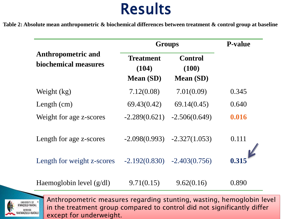### Results

**Table 2: Absolute mean anthropometric & biochemical differences between treatment & control group at baseline** 

|                                                   | <b>Groups</b>                                 |                                             | <b>P-value</b> |  |
|---------------------------------------------------|-----------------------------------------------|---------------------------------------------|----------------|--|
| <b>Anthropometric and</b><br>biochemical measures | <b>Treatment</b><br>(104)<br><b>Mean (SD)</b> | <b>Control</b><br>(100)<br><b>Mean</b> (SD) |                |  |
| Weight (kg)                                       | 7.12(0.08)                                    | 7.01(0.09)                                  | 0.345          |  |
| Length $(cm)$                                     | 69.43(0.42)                                   | 69.14(0.45)                                 | 0.640          |  |
| Weight for age z-scores                           | $-2.289(0.621)$                               | $-2.506(0.649)$                             | 0.016          |  |
| Length for age z-scores                           | $-2.098(0.993)$                               | $-2.327(1.053)$                             | 0.111          |  |
| Length for weight z-scores                        | $-2.192(0.830)$                               | $-2.403(0.756)$                             | 0.315          |  |
| Haemoglobin level $(g/dl)$                        | 9.71(0.15)                                    | 9.62(0.16)                                  | 0.890          |  |



Anthropometric measures regarding stunting, wasting, hemoglobin level in the treatment group compared to control did not significantly differ except for underweight.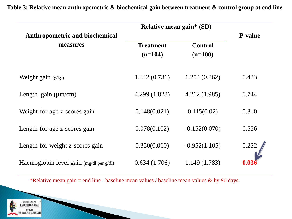| <b>Relative mean gain* (SD)</b>                    |                  |                 |                |
|----------------------------------------------------|------------------|-----------------|----------------|
| Anthropometric and biochemical                     |                  |                 | <b>P-value</b> |
| measures                                           | <b>Treatment</b> | <b>Control</b>  |                |
|                                                    | $(n=104)$        | $(n=100)$       |                |
|                                                    |                  |                 |                |
| Weight gain $(g/kg)$                               | 1.342(0.731)     | 1.254(0.862)    | 0.433          |
|                                                    |                  |                 |                |
| Length gain $(\mu m/cm)$                           | 4.299 (1.828)    | 4.212 (1.985)   | 0.744          |
| Weight-for-age z-scores gain                       | 0.148(0.021)     | 0.115(0.02)     | 0.310          |
|                                                    |                  |                 |                |
| Length-for-age z-scores gain                       | 0.078(0.102)     | $-0.152(0.070)$ | 0.556          |
| Length-for-weight z-scores gain                    | 0.350(0.060)     | $-0.952(1.105)$ | 0.232          |
|                                                    |                  |                 |                |
| Haemoglobin level gain $(mg/dl \text{ per } g/dl)$ | 0.634(1.706)     | 1.149(1.783)    |                |

**Table 3: Relative mean anthropometric & biochemical gain between treatment & control group at end line**

\*Relative mean gain = end line - baseline mean values / baseline mean values  $\&$  by 90 days.

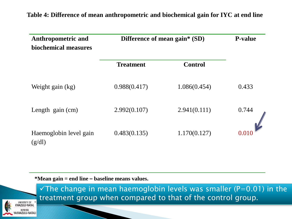#### **Table 4: Difference of mean anthropometric and biochemical gain for IYC at end line**

| <b>Anthropometric and</b><br>biochemical measures | Difference of mean gain* (SD) |                | <b>P-value</b> |
|---------------------------------------------------|-------------------------------|----------------|----------------|
|                                                   | <b>Treatment</b>              | <b>Control</b> |                |
| Weight gain (kg)                                  | 0.988(0.417)                  | 1.086(0.454)   | 0.433          |
| Length gain (cm)                                  | 2.992(0.107)                  | 2.941(0.111)   | 0.744          |
| Haemoglobin level gain<br>(g/dl)                  | 0.483(0.135)                  | 1.170(0.127)   |                |

**\*Mean gain = end line – baseline means values.** 



 $\checkmark$ The change in mean haemoglobin levels was smaller (P=0.01) in the treatment group when compared to that of the control group.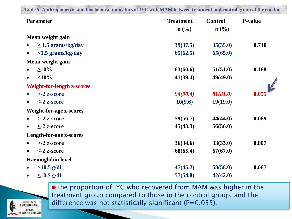| <b>Parameter</b>                  | <b>Treatment</b> | <b>Control</b>   | <b>P-value</b> |
|-----------------------------------|------------------|------------------|----------------|
|                                   | $\mathbf{n}(\%)$ | $\mathbf{n}(\%)$ |                |
| Mean weight gain                  |                  |                  |                |
| $\geq$ 1.5 grams/kg/day           | 39(37.5)         | 35(35.0)         | 0.710          |
| $<$ 1.5 grams/kg/day<br>$\bullet$ | 65(62.5)         | 65(65.0)         |                |
| Mean weight gain                  |                  |                  |                |
| $\geq 10\%$                       | 63(60.6)         | 51(51.0)         | 0.168          |
| $<$ 10%<br>$\bullet$              | 41(39.4)         | 49(49.0)         |                |
| <b>Weight-for-length z-scores</b> |                  |                  |                |
| $>$ -2 z-score                    | 94(90.4)         | 81(81.0)         | 0.055          |
| $\leq$ -2 z-score<br>$\bullet$    | 10(9.6)          | 19(19.0)         |                |
| <b>Weight-for-age z-scores</b>    |                  |                  |                |
| $> -2$ z-score                    | 59(56.7)         | 44(44.0)         | 0.069          |
| $\leq$ -2 z-score<br>$\bullet$    | 45(43.3)         | 56(56.0)         |                |
| Length-for-age z-scores           |                  |                  |                |
| $>$ -2 z-score                    | 36(34.6)         | 33(33.0)         | 0.807          |
| $\leq$ -2 z-score<br>$\bullet$    | 68(65.4)         | 67(67.0)         |                |
| <b>Haemoglobin level</b>          |                  |                  |                |
| $>10.5$ g/dl                      | 47(45.2)         | 58(58.0)         | 0.067          |
| $\leq$ 10.5 g/dl<br>$\bullet$     | 57(54.8)         | 42(42.0)         |                |



UNIVERSITY OF AZULU-NATAL AZULU-NATALI The proportion of IYC who recovered from MAM was higher in the treatment group compared to those in the control group, and the difference was not statistically significant ( $P=0.055$ ).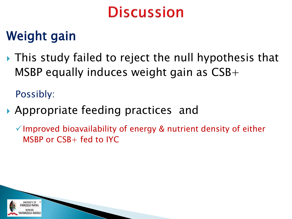### Weight gain

▶ This study failed to reject the null hypothesis that MSBP equally induces weight gain as CSB+

Possibly:

Appropriate feeding practices and

 $\checkmark$  Improved bioavailability of energy & nutrient density of either MSBP or CSB+ fed to IYC

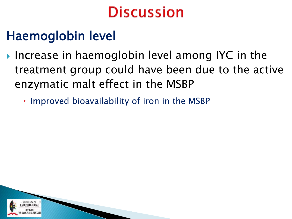### Haemoglobin level

- ▶ Increase in haemoglobin level among IYC in the treatment group could have been due to the active enzymatic malt effect in the MSBP
	- Improved bioavailability of iron in the MSBP

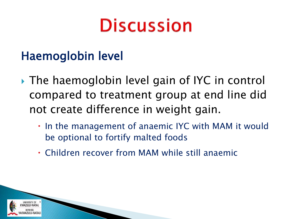#### Haemoglobin level

- The haemoglobin level gain of IYC in control compared to treatment group at end line did not create difference in weight gain.
	- $\cdot$  In the management of anaemic IYC with MAM it would be optional to fortify malted foods
	- Children recover from MAM while still anaemic

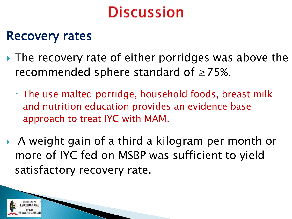#### Recovery rates

- ▶ The recovery rate of either porridges was above the recommended sphere standard of  $\geq$ 75%.
	- The use malted porridge, household foods, breast milk and nutrition education provides an evidence base approach to treat IYC with MAM.
- A weight gain of a third a kilogram per month or more of IYC fed on MSBP was sufficient to yield satisfactory recovery rate.

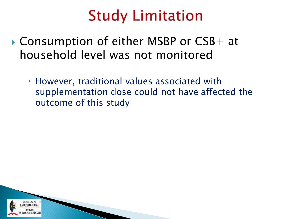### **Study Limitation**

- Consumption of either MSBP or CSB+ at household level was not monitored
	- However, traditional values associated with supplementation dose could not have affected the outcome of this study